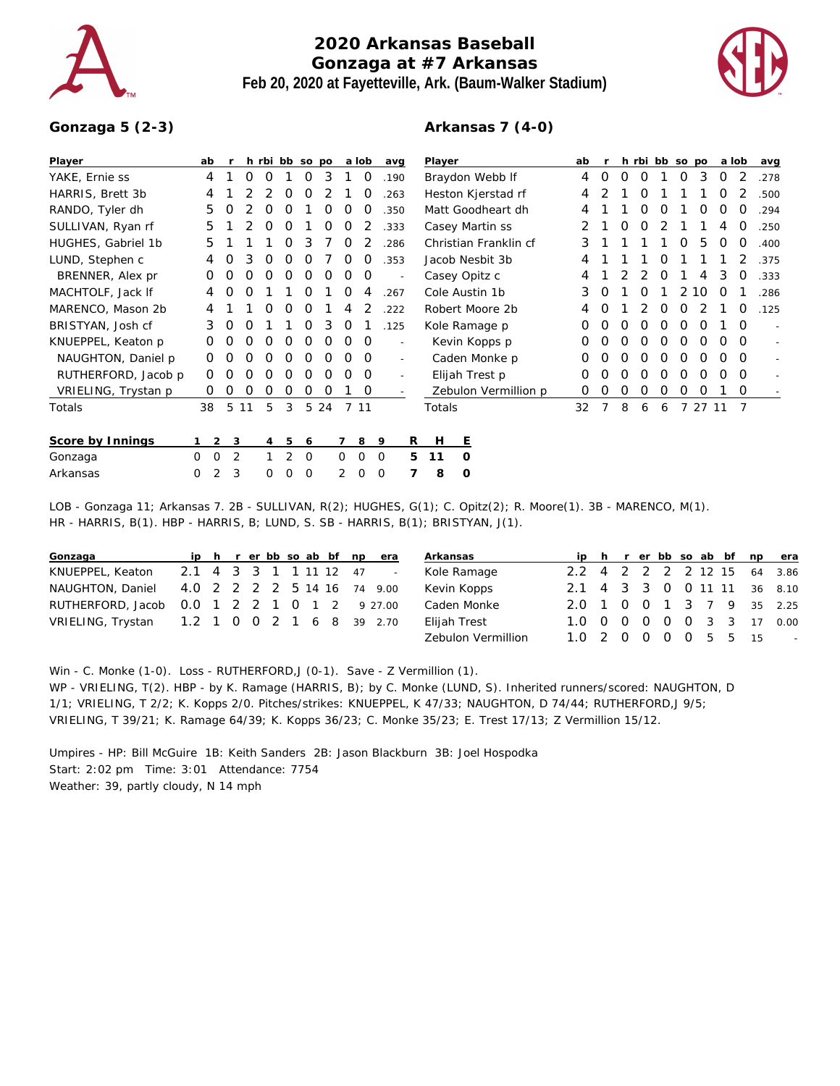

## **2020 Arkansas Baseball Gonzaga at #7 Arkansas Feb 20, 2020 at Fayetteville, Ark. (Baum-Walker Stadium)**



## **Gonzaga 5 (2-3)**

## **Arkansas 7 (4-0)**

| Player              |   | ab          |   |    |   |   | h rbi bb so po |      |          | a lob    | avg                      |    | Player               |                 |                       | ab |   |   |   | h rbi bb so po |    |       | a lob    |          | avg  |
|---------------------|---|-------------|---|----|---|---|----------------|------|----------|----------|--------------------------|----|----------------------|-----------------|-----------------------|----|---|---|---|----------------|----|-------|----------|----------|------|
| YAKE, Ernie ss      |   | 4           |   | 0  | 0 |   | O              | 3    |          | 0        | .190                     |    | Braydon Webb If      |                 | 4                     | 0  | Ο | O |   | O              | 3  | 0     |          | .278     |      |
| HARRIS, Brett 3b    |   | 4           |   |    |   | O | O              | 2    |          | 0        | 263                      |    | Heston Kjerstad rf   |                 | 4                     |    |   | O |   |                |    | Ο     |          | .500     |      |
| RANDO, Tyler dh     |   | 5           | O |    | Ο | O |                | Ο    | O        | Ο        | .350                     |    |                      |                 | Matt Goodheart dh     | 4  |   |   | O | Ο              |    | Ο     | Ο        | O        | .294 |
| SULLIVAN, Ryan rf   |   | 5           |   |    | Ο | O |                | Ο    | O        |          | .333                     |    |                      | Casey Martin ss |                       |    |   | Ο | O |                |    |       | 4        | O        | .250 |
| HUGHES, Gabriel 1b  |   | 5           |   |    |   | Ο | 3              |      | O        |          | 286                      |    |                      |                 | Christian Franklin cf | 3  |   |   |   |                | O  | 5     | Ο        | O        | .400 |
| LUND, Stephen c     |   | 4           | Ο | 3  | 0 | Ο | Ο              |      | Ο        |          | 353                      |    | Jacob Nesbit 3b      |                 |                       | 4  |   |   |   | O              |    |       |          |          | 375  |
| BRENNER, Alex pr    |   | 0           | O | O  | 0 | 0 | O              | O    | 0        | 0        |                          |    | Casey Opitz c        |                 | 4                     |    |   | 2 | 0 |                | 4  | 3     | O        | .333     |      |
| MACHTOLF, Jack If   |   | 4           | O | Ο  |   |   | Ο              |      | 0        | 4        | 267                      |    | Cole Austin 1b       |                 | 3                     | O  |   | Ο |   | 2.             | 10 | O     |          | 286      |      |
| MARENCO, Mason 2b   |   | 4           |   |    | Ο | O | O              |      | 4        |          | 222                      |    | Robert Moore 2b      |                 | 4                     | Ο  |   |   | 0 | Ο              |    |       | O        | .125     |      |
| BRISTYAN, Josh cf   |   | 3           | 0 | O  |   |   | O              | 3    | 0        |          | .125                     |    | Kole Ramage p        |                 | O                     | Ο  | Ο | Ο | Ο | Ο              | O  |       | $\Omega$ |          |      |
| KNUEPPEL, Keaton p  |   | 0           | 0 | 0  | O | 0 | O              | 0    | 0        | $\Omega$ | ٠                        |    | Kevin Kopps p        |                 |                       | 0  | 0 | Ο | O | Ο              | O  | 0     | 0        | $\Omega$ |      |
| NAUGHTON, Daniel p  |   | 0           | Ο | Ω  | Ω | Ο | Ο              | Ο    | Ω        | $\Omega$ | $\overline{\phantom{0}}$ |    | Caden Monke p        |                 |                       | O  | Ω | O | Ω | Ω              | Ω  | Ω     | ∩        | $\Omega$ |      |
| RUTHERFORD, Jacob p |   | 0           |   | Ο  | ი | Ο | Ο              | Ο    | Ω        | $\Omega$ |                          |    |                      | Elijah Trest p  |                       | O  |   | ი | Ο | 0              | Ο  | ი     | O        | $\Omega$ |      |
| VRIELING, Trystan p |   | 0           | Ο | O  | Ο | O | O              | O    |          | 0        |                          |    | Zebulon Vermillion p |                 | O                     | Ο  | O | O | Ο | Ο              | O  |       | $\Omega$ |          |      |
| Totals              |   | 38          | 5 | 11 | 5 | 3 |                | 5 24 |          | 7 11     |                          |    | Totals               |                 |                       | 32 |   | 8 | 6 | 6              |    | 27 11 |          | -7       |      |
|                     |   |             |   |    |   |   |                |      |          |          |                          |    |                      |                 |                       |    |   |   |   |                |    |       |          |          |      |
| Score by Innings    |   | $2 \quad 3$ |   |    | 4 | 5 | 6              |      | 7        | 8        | 9                        | R  | H                    | E               |                       |    |   |   |   |                |    |       |          |          |      |
| Gonzaga             | 0 | $\circ$     | 2 |    |   | 2 | 0              |      | $\Omega$ | $\Omega$ | 0                        | 5. | 11                   | $\circ$         |                       |    |   |   |   |                |    |       |          |          |      |
| Arkansas            | 0 | 2           | 3 |    | 0 | 0 | 0              |      | 2        | 0        | 0                        | 7  | 8                    | $\circ$         |                       |    |   |   |   |                |    |       |          |          |      |

LOB - Gonzaga 11; Arkansas 7. 2B - SULLIVAN, R(2); HUGHES, G(1); C. Opitz(2); R. Moore(1). 3B - MARENCO, M(1). HR - HARRIS, B(1). HBP - HARRIS, B; LUND, S. SB - HARRIS, B(1); BRISTYAN, J(1).

| Gonzaga                                      | iph rerbb so ab bf npera |  |  |  |  |  | Arkansas           |                             |  |  |  |  | ip h r er bb so ab bf np era |
|----------------------------------------------|--------------------------|--|--|--|--|--|--------------------|-----------------------------|--|--|--|--|------------------------------|
| KNUEPPEL, Keaton 2.1 4 3 3 1 1 11 12 47 -    |                          |  |  |  |  |  | Kole Ramage        | 2.2 4 2 2 2 2 12 15 64 3.86 |  |  |  |  |                              |
| NAUGHTON, Daniel 4.0 2 2 2 2 5 14 16 74 9.00 |                          |  |  |  |  |  | Kevin Kopps        | 2.1 4 3 3 0 0 11 11 36 8.10 |  |  |  |  |                              |
| RUTHERFORD, Jacob 0.0 1 2 2 1 0 1 2 9 27.00  |                          |  |  |  |  |  | Caden Monke        |                             |  |  |  |  | 2.0 1 0 0 1 3 7 9 35 2.25    |
| VRIELING, Trystan 1.2 1 0 0 2 1 6 8 39 2.70  |                          |  |  |  |  |  | Elijah Trest       | 1.0 0 0 0 0 0 3 3 17 0.00   |  |  |  |  |                              |
|                                              |                          |  |  |  |  |  | Zebulon Vermillion | 1.0 2 0 0 0 0 5 5 15 -      |  |  |  |  |                              |

Win - C. Monke (1-0). Loss - RUTHERFORD, J (0-1). Save - Z Vermillion (1). WP - VRIELING, T(2). HBP - by K. Ramage (HARRIS, B); by C. Monke (LUND, S). Inherited runners/scored: NAUGHTON, D 1/1; VRIELING, T 2/2; K. Kopps 2/0. Pitches/strikes: KNUEPPEL, K 47/33; NAUGHTON, D 74/44; RUTHERFORD,J 9/5; VRIELING, T 39/21; K. Ramage 64/39; K. Kopps 36/23; C. Monke 35/23; E. Trest 17/13; Z Vermillion 15/12.

Umpires - HP: Bill McGuire 1B: Keith Sanders 2B: Jason Blackburn 3B: Joel Hospodka Start: 2:02 pm Time: 3:01 Attendance: 7754 Weather: 39, partly cloudy, N 14 mph